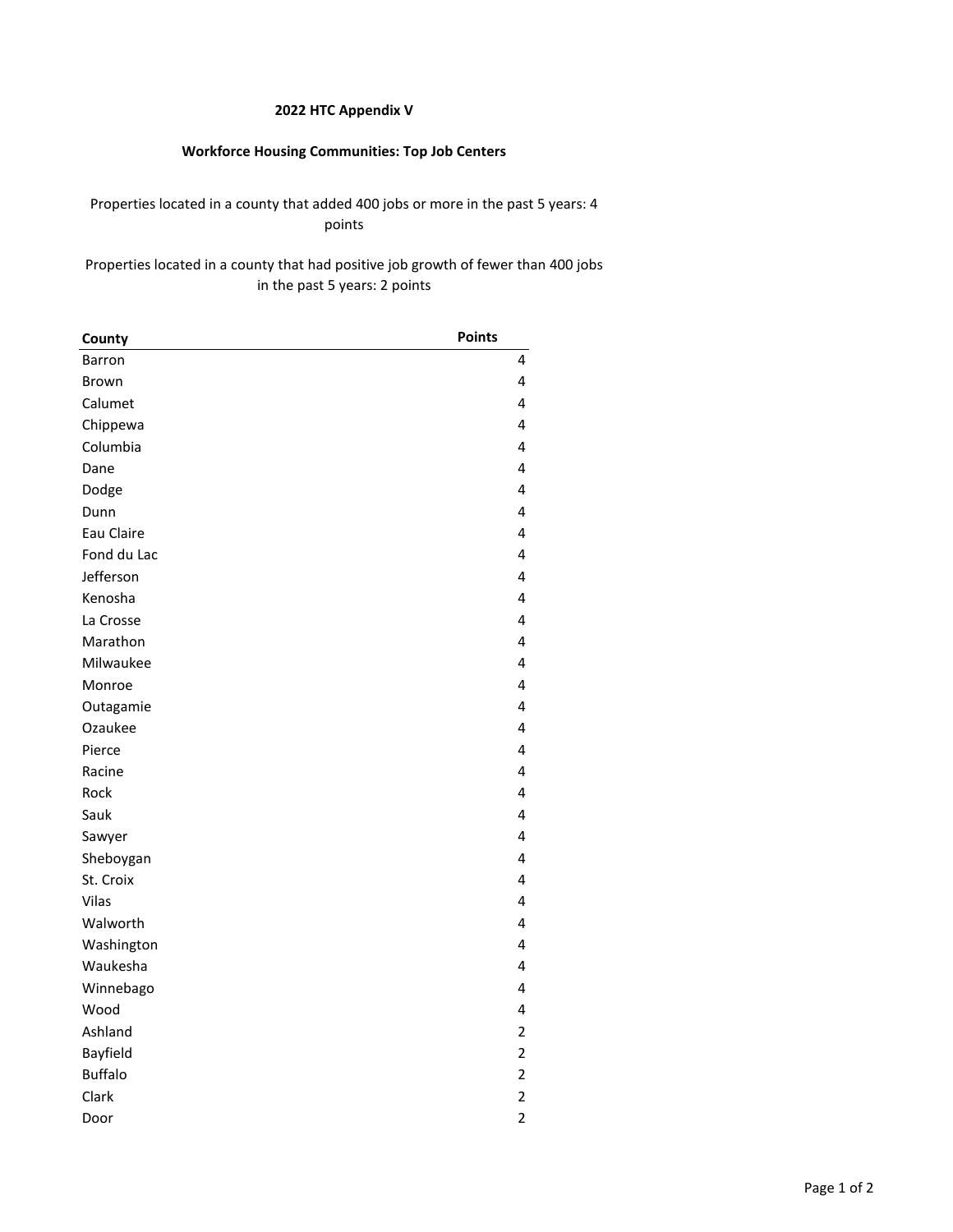#### **2022 HTC Appendix V**

# **Workforce Housing Communities: Top Job Centers**

## Properties located in a county that added 400 jobs or more in the past 5 years: 4 points

## Properties located in a county that had positive job growth of fewer than 400 jobs in the past 5 years: 2 points

| County         | <b>Points</b>  |
|----------------|----------------|
| Barron         | 4              |
| Brown          | 4              |
| Calumet        | 4              |
| Chippewa       | 4              |
| Columbia       | 4              |
| Dane           | 4              |
| Dodge          | 4              |
| Dunn           | 4              |
| Eau Claire     | 4              |
| Fond du Lac    | 4              |
| Jefferson      | 4              |
| Kenosha        | 4              |
| La Crosse      | 4              |
| Marathon       | 4              |
| Milwaukee      | 4              |
| Monroe         | 4              |
| Outagamie      | 4              |
| Ozaukee        | 4              |
| Pierce         | 4              |
| Racine         | 4              |
| Rock           | 4              |
| Sauk           | 4              |
| Sawyer         | 4              |
| Sheboygan      | 4              |
| St. Croix      | 4              |
| Vilas          | 4              |
| Walworth       | 4              |
| Washington     | 4              |
| Waukesha       | 4              |
| Winnebago      | 4              |
| Wood           | 4              |
| Ashland        | $\overline{2}$ |
| Bayfield       | $\overline{2}$ |
| <b>Buffalo</b> | $\overline{c}$ |
| Clark          | $\overline{2}$ |
| Door           | $\overline{2}$ |